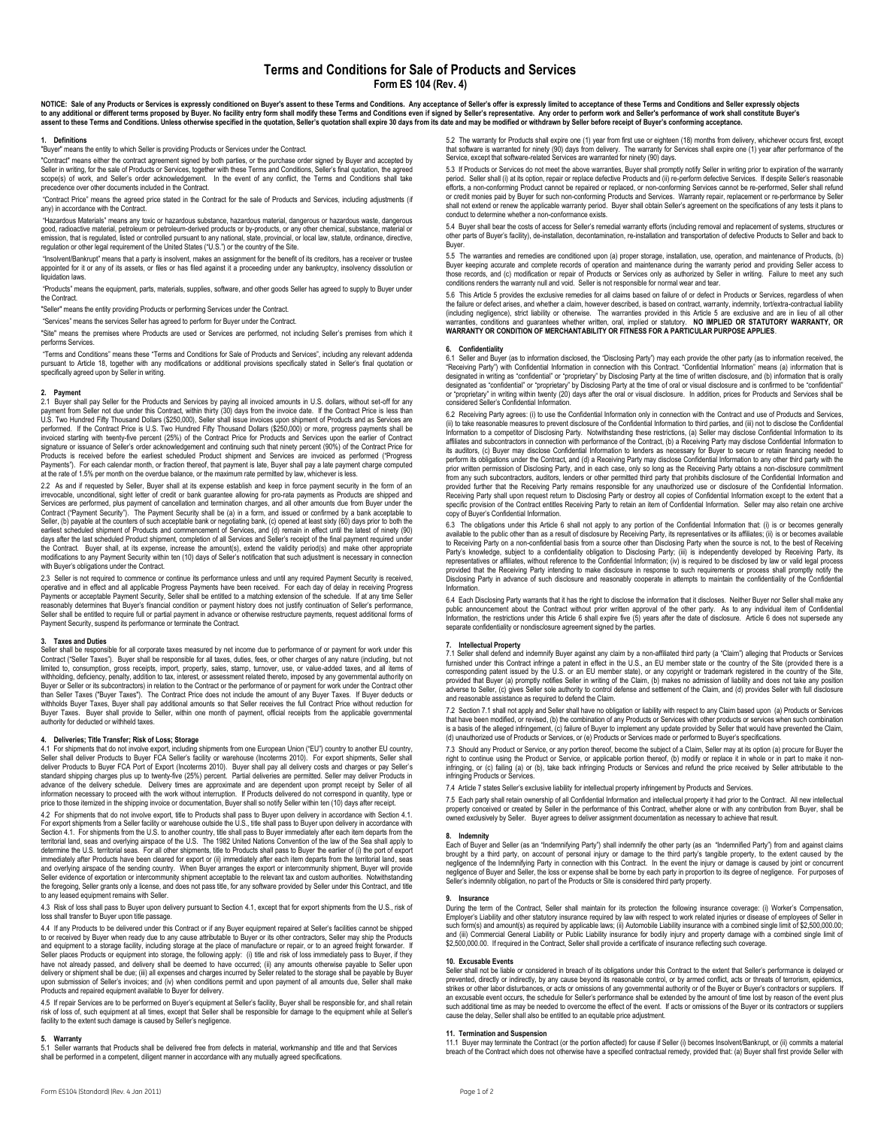NOTICE: Sale of any Products or Services is expressly conditioned on Buyer's assent to these Terms and Conditions. Any acceptance of Seller's offer is expressly limited to acceptance of these Terms and Conditions and Selle

## **1. Definitions**

"Buyer" means the entity to which Seller is providing Products or Services under the Contract.

"Contract" means either the contract agreement signed by both parties, or the purchase order signed by Buyer and accepted by Seller in writing, for the sale of Products or Services, together with these Terms and Conditions, Seller's final quotation, the agreed scope(s) of work, and Seller's order acknowledgement. In the event of any conflict, the Terms and Conditions shall take precedence over other documents included in the Contract.

"Contract Price" means the agreed price stated in the Contract for the sale of Products and Services, including adjustments (if any) in accordance with the Contract.

"Hazardous Materials" means any toxic or hazardous substance, hazardous material, dangerous or hazardous waste, dangerous<br>good, radioactive material, petroleum or petroleum-derived products or by-products, or any other che emission, that is regulated, listed or controlled pursuant to any national, state, provincial, or local law, statute, ordinance, directive, regulation or other legal requirement of the United States ("U.S.") or the country of the Site.

"Insolvent/Bankrupt" means that a party is insolvent, makes an assignment for the benefit of its creditors, has a receiver or trustee appointed for it or any of its assets, or files or has filed against it a proceeding under any bankruptcy, insolvency dissolution or liquidation laws.

"Products" means the equipment, parts, materials, supplies, software, and other goods Seller has agreed to supply to Buyer under the Contract.

"Seller" means the entity providing Products or performing Services under the Contract.

"Services" means the services Seller has agreed to perform for Buyer under the Contract.

"Site" means the premises where Products are used or Services are performed, not including Seller's premises from which it performs Services.

"Terms and Conditions" means these "Terms and Conditions for Sale of Products and Services", including any relevant addenda pursuant to Article 18, together with any modifications or additional provisions specifically stated in Seller's final quotation or specifically agreed upon by Seller in writing.

**2. Payment** 2.1 Buyer shall pay Seller for the Products and Services by paying all invoiced amounts in U.S. dollars, without set-off for any payment from Seller not due under this Contract, within thirty (30) days from the invoice date. If the Contract Price is less than<br>U.S. Two Hundred Fifty Thousand Dollars (\$250,000), Seller shall issue invoices upon shipme performed. If the Contract Price is U.S. Two Hundred Fifty Thousand Dollars (\$250,000) or more, progress payments shall be<br>invoiced starting with twenty-five percent (25%) of the Contract Price for Products and Services up Products is received before the earliest scheduled Product shipment and Services are invoiced as performed ("Progress Payments"). For each calendar month, or fraction thereof, that payment is late, Buyer shall pay a late payment charge computed at the rate of 1.5% per month on the overdue balance, or the maximum rate permitted by law, whichever is less.

2.2 As and if requested by Seller, Buyer shall at its expense establish and keep in force payment security in the form of an irrevocable unconditional sight letter of credit or bank guarantee allowing for pro-rata payments irrevocable, unconditional, sight letter of credit or bank guarantee allowing for pro-rata payments as Products are shipped and<br>Services are performed, plus payment of cancellation and termination charges, and all other am Contract ("Payment Security"). The Payment Security shall be (a) in a form, and issued or confirmed by a bank acceptable to<br>Seller, (b) payable at the counters of such acceptable bank or negotiating bank, (c) opened at lea days after the last scheduled Product shipment, completion of all Services and Seller's receipt of the final payment required under the Contract. Buyer shall, at its expense, increase the amount(s), extend the validity period(s) and make other appropriate modifications to any Payment Security within ten (10) days of Seller's notification that such adjustment is necessary in connection with Buyer's obligations under the Contract.

2.3 Seller is not required to commence or continue its performance unless and until any required Payment Security is received, operative and in effect and all applicable Progress Payments have been received. For each day of delay in receiving Progress<br>Payments or acceptable Payment Security, Seller shall be entitled to a matching extension of the reasonably determines that Buyer's financial condition or payment history does not justify continuation of Seller's performance, Seller shall be entitled to require full or partial payment in advance or otherwise restructure payments, request additional forms of Payment Security, suspend its performance or terminate the Contract.

## **3. Taxes and Duties**

Seller shall be responsible for all corporate taxes measured by net income due to performance of or payment for work under this Contract ("Seller Taxes"). Buyer shall be responsible for all taxes, duties, fees, or other charges of any nature (including, but not limited to, consumption, gross receipts, import, property, sales, stamp, turnover, use, or value-added taxes, and all withholding, deficiency, penalty, addition to tax, interest, or assessment related thereto, imposed by any governmental authority on Buyer or Seller or its subcontractors) in relation to the Contract or the performance of or payment for work under the Contract other<br>than Seller Taxes ("Buyer Taxes"). The Contract Price does not include the amount of any Buyer shall provide to Seller, within one month of payment, official receipts from the applicable governmental authority for deducted or withheld taxes.

**4. Deliveries; Title Transfer; Risk of Loss; Storage** 4.1 For shipments that do not involve export, including shipments from one European Union ("EU") country to another EU country, Seller shall deliver Products to Buyer FCA Seller's facility or warehouse (Incoterms 2010). For export shipments, Seller shall<br>deliver Products to Buyer FCA Port of Export (Incoterms 2010). Buyer shall pay all delivery cos standard shipping charges plus up to twenty-five (25%) percent. Partial deliveries are permitted. Seller may deliver Products in<br>advance of the delivery schedule. Delivery times are approximate and are dependent upon promp price to those itemized in the shipping invoice or documentation, Buyer shall so notify Seller within ten (10) days after receipt

4.2 For shipments that do not involve export, title to Products shall pass to Buyer upon delivery in accordance with Section 4.1.<br>For export shipments from a Seller facility or warehouse outside the U.S., title shall pass Section 4.1. For shipments from the U.S. to another country, title shall pass to Buyer immediately after each item departs from the<br>territorial land, seas and overlying airspace of the U.S. The 1982 United Nations Conventi determine the U.S. territorial seas. For all other shipments, title to Products shall pass to Buyer the earlier of (i) the port of export immediately after Products have been cleared for export or (ii) immediately after each item departs from the territorial land, seas<br>and overlying airspace of the sending country. When Buyer arranges the export or intercomm Seller evidence of exportation or intercommunity shipment acceptable to the relevant tax and custom authorities. Notwithstanding<br>the foregoing, Seller grants only a license, and does not pass title, for any software provid to any leased equipment remains with Seller.

4.3 Risk of loss shall pass to Buyer upon delivery pursuant to Section 4.1, except that for export shipments from the U.S., risk of loss shall transfer to Buyer upon title passage.

4.4 If any Products to be delivered under this Contract or if any Buyer equipment repaired at Seller's facilities cannot be shipped to or received by Buyer when ready due to any cause attributable to Buyer or its other contractors, Seller may ship the Products<br>and equipment to a storage facility, including storage at the place of manufacture or repair, Seller places Products or equipment into storage, the following apply: (i) title and risk of loss immediately pass to Buyer, if they<br>have not already passed, and delivery shall be deemed to have occurred; (ii) any amounts upon submission of Seller's invoices; and (iv) when conditions permit and upon payment of all amounts due, Seller shall make Products and repaired equipment available to Buyer for delivery.

4.5 If repair Services are to be performed on Buyer's equipment at Seller's facility, Buyer shall be responsible for, and shall retain risk of loss of, such equipment at all times, except that Seller shall be responsible for damage to the equipment while at Seller's facility to the extent such damage is caused by Seller's negligence.

**5. Warranty** 5.1 Seller warrants that Products shall be delivered free from defects in material, workmanship and title and that Services shall be performed in a competent, diligent manner in accordance with any mutually agreed specifications.

5.2 The warranty for Products shall expire one (1) year from first use or eighteen (18) months from delivery, whichever occurs first, except<br>that software is warranted for ninety (90) days from delivery. The warranty for S

5.3 If Products or Services do not meet the above warranties, Buyer shall promptly notify Seller in writing prior to expiration of the warranty<br>period. Seller shall (i) at its option, repair or replace defective Products a efforts, a non-conforming Product cannot be repaired or replaced, or non-conforming Services cannot be re-performed, Seller shall refund or credit monies paid by Buyer for such non-conforming Products and Services. Warranty repair, replacement or re-performance by Seller<br>shall not extend or renew the applicable warranty period. Buyer shall obtain Seller's a conduct to determine whether a non-conformance exists.

5.4 Buyer shall bear the costs of access for Seller's remedial warranty efforts (including removal and replacement of systems, structures or other parts of Buyer's facility), de-installation, decontamination, re-installation and transportation of defective Products to Seller and back to Buyer.

5.5 The warranties and remedies are conditioned upon (a) proper storage, installation, use, operation, and maintenance of Products, (b) Buyer keeping accurate and complete records of operation and maintenance during the warranty period and providing Seller access to<br>those records, and (c) modification or repair of Products or Services only as authorized by conditions renders the warranty null and void. Seller is not responsible for normal wear and tear.

5.6 This Article 5 provides the exclusive remedies for all claims based on failure of or defect in Products or Services, regardless of when the failure or defect arises, and whether a claim, however described, is based on contract, warranty, indemnity, tort/extra-contractual liability<br>(including negligence), strict liability or otherwise. The warranties provid

## **6. Confidentiality**

6.1 Seller and Buyer (as to information disclosed, the "Disclosing Party") may each provide the other party (as to information received, the "Receiving Party") with Confidential Information in connection with this Contract. "Confidential Information" means (a) information that is designated in writing as "confidential" or "proprietary" by Disclosing Party at the time of written disclosure, and (b) information that is orally<br>designated as "confidential" or "proprietary" by Disclosing Party at the ti designated as "confidential" or "proprietary" by Disclosing Party at the time of oral or visual disclosure and is confirmed to be "confidential"<br>or "proprietary" in writing within twenty (20) days after the oral or visual

6.2 Receiving Party agrees: (i) to use the Confidential Information only in connection with the Contract and use of Products and Services, (ii) to take reasonable measures to prevent disclosure of the Confidential Information to third parties, and (iii) not to disclose the Confidential<br>Information to a competitor of Disclosing Party. Notwithstanding these res affiliates and subcontractors in connection with performance of the Contract, (b) a Receiving Party may disclose Confidential Information to its auditors, (c) Buyer may disclose Confidential Information to lenders as necessary for Buyer to secure or retain financing needed to perform its obligations under the Contract, and (d) a Receiving Party may disclose Confidential Information to any other third party with the prior written permission of Disclosing Party, and in each case, only so long as the Receiving Party obtains a non-disclosure commitment<br>from any such subcontractors, auditors, lenders or other permitted third party that pr provided further that the Receiving Party remains responsible for any unauthorized use or disclosure of the Confidential Information.<br>Receiving Party shall upon request return to Disclosing Party or destroy all copies of C copy of Buyer's Confidential Information.

6.3 The obligations under this Article 6 shall not apply to any portion of the Confidential Information that: (i) is or becomes generally<br>available to the public other than as a result of disclosure by Receiving Party, its to Receiving Party on a non-confidential basis from a source other than Disclosing Party when the source is not, to the best of Receiving<br>Party's knowledge, subject to a confidentiality obligation to Disclosing Party; (iii representatives or affiliates, without reference to the Confidential Information; (iv) is required to be disclosed by law or valid legal process<br>provided that the Receiving Party intending to make disclosure in response to Information.

6.4 Each Disclosing Party warrants that it has the right to disclose the information that it discloses. Neither Buyer nor Seller shall make any<br>public announcement about the Contract without prior written approval of the o Information, the restrictions under this Article 6 shall expire five (5) years after the date of disclosure. Article 6 does not supersede any<br>separate confidentiality or nondisclosure agreement signed by the parties.

**7. Intellectual Property** 7.1 Seller shall defend and indemnify Buyer against any claim by a non-affiliated third party (a "Claim") alleging that Products or Services furnished under this Contract infringe a patent in effect in the U.S., an EU member state or the country of the Site (provided there is a<br>corresponding patent issued by the U.S. or an EU member state), or any copyright or adverse to Seller, (c) gives Seller sole authority to control defense and settlement of the Claim, and (d) provides Seller with full disclosure<br>and reasonable assistance as required to defend the Claim.

7.2 Section 7.1 shall not apply and Seller shall have no obligation or liability with respect to any Claim based upon (a) Products or Services that have been modified, or revised, (b) the combination of any Products or Services with other products or services when such combination<br>is a basis of the alleged infringement, (c) failure of Buyer to implement any updat (d) unauthorized use of Products or Services, or (e) Products or Services made or performed to Buyer's specifications.

7.3 Should any Product or Service, or any portion thereof, become the subject of a Claim, Seller may at its option (a) procure for Buyer the<br>right to continue using the Product or Service, or applicable portion thereof, (b infringing, or (c) failing (a) or (b), take back infringing Products or Services and refund the price received by Seller attributable to the infringing Products or Services.

7.4 Article 7 states Seller's exclusive liability for intellectual property infringement by Products and Services.

7.5 Each party shall retain ownership of all Confidential Information and intellectual property it had prior to the Contract. All new intellectual property conceived or created by Seller in the performance of this Contract, whether alone or with any contribution from Buyer, shall be wned exclusively by Seller. Buyer agrees to deliver assignment documentation as necessary to achieve that result.

### **8. Indemnity**

Each of Buyer and Seller (as an "Indemnifying Party") shall indemnify the other party (as an "Indemnified Party") from and against claims brought by a third party, on account of personal injury or damage to the third party's tangible property, to the extent caused by the<br>negligence of the Indemnifying Party in connection with this Contract. In the event the Seller's indemnity obligation, no part of the Products or Site is considered third party property.

### **9. Insurance**

During the term of the Contract, Seller shall maintain for its protection the following insurance coverage: (i) Worker's Compensation, Employer's Liability and other statutory insurance required by law with respect to work related injuries or disease of employees of Seller in such form(s) and amount(s) as required by applicable laws; (ii) Automobile Liability insurance with a combined single limit of \$2,500,000,00; and (iii) Commercial General Liability or Public Liability insurance for bodily injury and property damage with a combined single limit of<br>\$2,500,000.00. If required in the Contract, Seller shall provide a certificate of i

### **10. Excusable Events**

Seller shall not be liable or considered in breach of its obligations under this Contract to the extent that Seller's performance is delayed or prevented, directly or indirectly, by any cause beyond its reasonable control, or by armed conflict, acts or threats of terrorism, epidemics,<br>strikes or other labor disturbances, or acts or omissions of any governmental au an excusable event occurs, the schedule for Seller's performance shall be extended by the amount of time lost by reason of the event plus such additional time as may be needed to overcome the effect of the event. If acts or omissions of the Buyer or its contractors or suppliers cause the delay, Seller shall also be entitled to an equitable price adjustment.

**11. Termination and Suspension**<br>11.1 Buyer may terminate the Contract (or the portion affected) for cause if Seller (i) becomes Insolvent/Bankrupt, or (ii) commits a material breach of the Contract which does not otherwise have a specified contractual remedy, provided that: (a) Buyer shall first provide Seller with